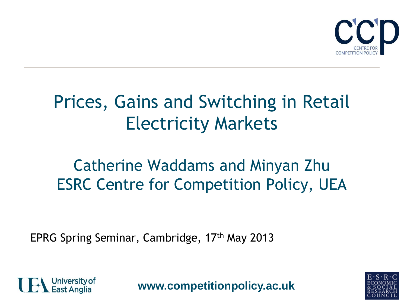

## Prices, Gains and Switching in Retail Electricity Markets

#### Catherine Waddams and Minyan Zhu ESRC Centre for Competition Policy, UEA

EPRG Spring Seminar, Cambridge, 17th May 2013



**www.competitionpolicy.ac.uk**

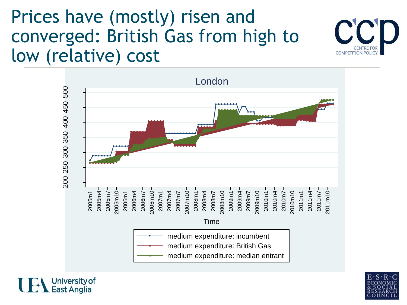## Prices have (mostly) risen and converged: British Gas from high to low (relative) cost







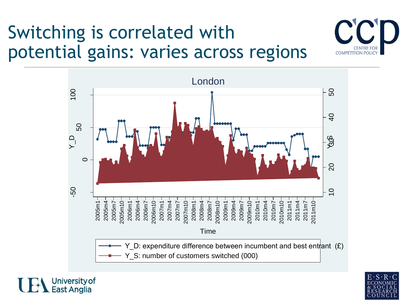# Switching is correlated with potential gains: varies across regions







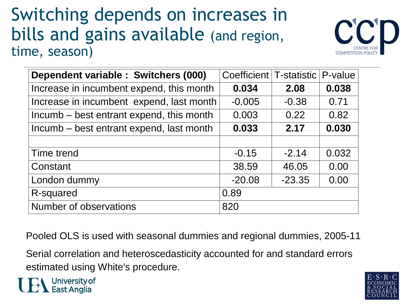#### Switching depends on increases in bills and gains available (and region, time, season)



| Dependent variable : Switchers (000)     | Coefficient   T-statistic |          | P-value |
|------------------------------------------|---------------------------|----------|---------|
| Increase in incumbent expend, this month | 0.034                     | 2.08     | 0.038   |
| Increase in incumbent expend, last month | $-0.005$                  | $-0.38$  | 0.71    |
| Incumb – best entrant expend, this month | 0.003                     | 0.22     | 0.82    |
| Incumb – best entrant expend, last month | 0.033                     | 2.17     | 0.030   |
|                                          |                           |          |         |
| Time trend                               | $-0.15$                   | $-2.14$  | 0.032   |
| Constant                                 | 38.59                     | 46.05    | 0.00    |
| London dummy                             | $-20.08$                  | $-23.35$ | 0.00    |
| R-squared                                | 0.89                      |          |         |
| <b>Number of observations</b>            | 820                       |          |         |

Pooled OLS is used with seasonal dummies and regional dummies, 2005-11

Serial correlation and heteroscedasticity accounted for and standard errors estimated using White's procedure.



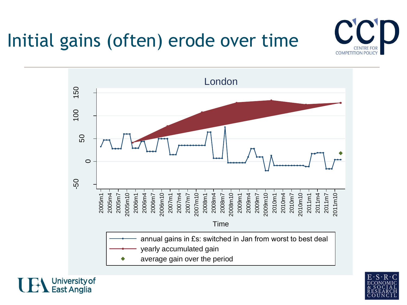# Initial gains (often) erode over time